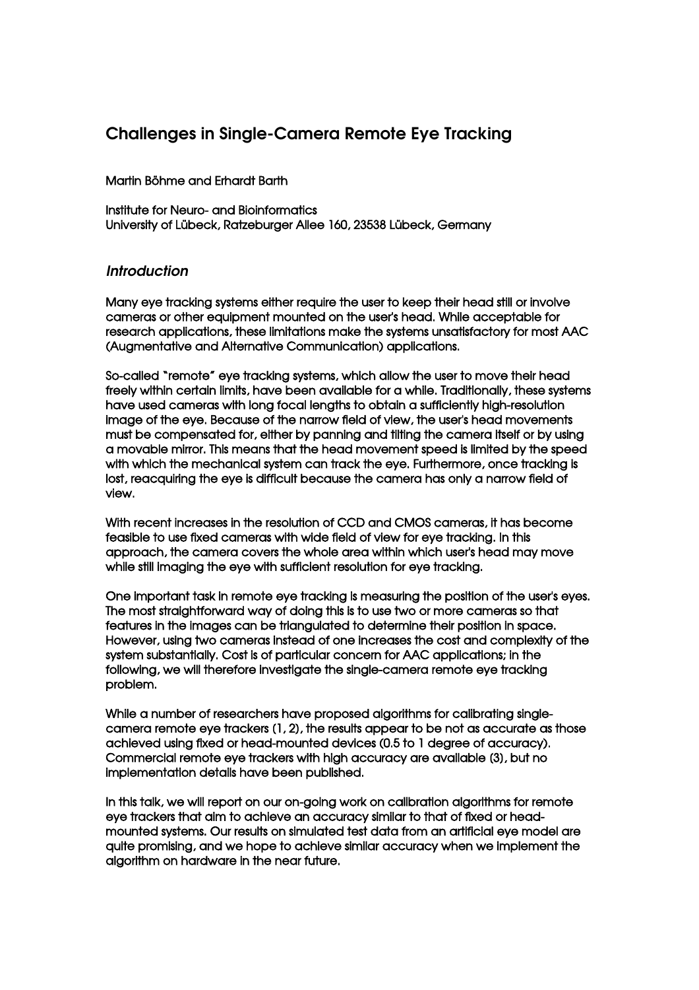# Challenges in Single-Camera Remote Eye Tracking

## Martin Böhme and Erhardt Barth

Institute for Neuro- and Bioinformatics University of Lübeck, Ratzeburger Allee 160, 23538 Lübeck, Germany

## **Introduction**

Many eye tracking systems either require the user to keep their head still or involve cameras or other equipment mounted on the user's head. While acceptable for research applications, these limitations make the systems unsatisfactory for most AAC (Augmentative and Alternative Communication) applications.

Socalled "remote" eye tracking systems, which allow the user to move their head freely within certain limits, have been available for a while. Traditionally, these systems have used cameras with long focal lengths to obtain a sufficiently high-resolution image of the eye. Because of the narrow field of view, the user's head movements must be compensated for, either by panning and tilting the camera itself or by using a movable mirror. This means that the head movement speed is limited by the speed with which the mechanical system can track the eye. Furthermore, once tracking is lost, reacquiring the eye is difficult because the camera has only a narrow field of view.

With recent increases in the resolution of CCD and CMOS cameras, it has become feasible to use fixed cameras with wide field of view for eye tracking. In this approach, the camera covers the whole area within which user's head may move while still imaging the eye with sufficient resolution for eye tracking.

One important task in remote eye tracking is measuring the position of the user's eyes. The most straightforward way of doing this is to use two or more cameras so that features in the images can be triangulated to determine their position in space. However, using two cameras instead of one increases the cost and complexity of the system substantially. Cost is of particular concern for AAC applications; in the following, we will therefore investigate the single-camera remote eye tracking problem.

While a number of researchers have proposed algorithms for calibrating singlecamera remote eye trackers [1, 2], the results appear to be not as accurate as those achieved using fixed or head-mounted devices (0.5 to 1 degree of accuracy). Commercial remote eye trackers with high accuracy are available [3], but no implementation details have been published.

In this talk, we will report on our on-going work on calibration algorithms for remote eye trackers that aim to achieve an accuracy similar to that of fixed or headmounted systems. Our results on simulated test data from an artificial eye model are quite promising, and we hope to achieve similar accuracy when we implement the algorithm on hardware in the near future.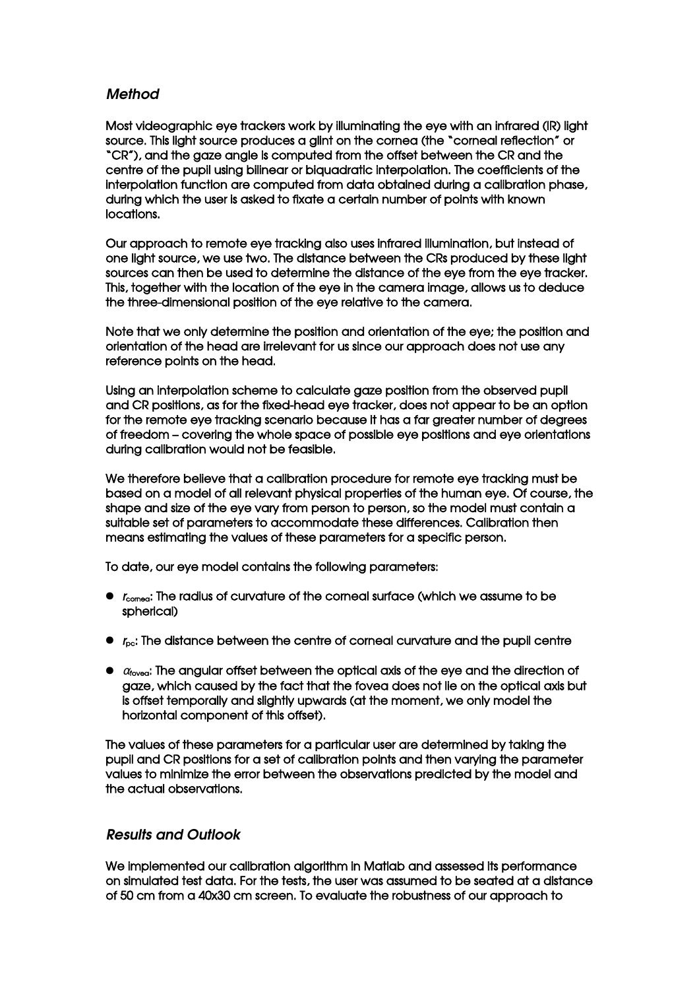## Method

Most videographic eye trackers work by illuminating the eye with an infrared (IR) light source. This light source produces a glint on the cornea (the "corneal reflection" or "CR"), and the gaze angle is computed from the offset between the CR and the centre of the pupil using bilinear or biquadratic interpolation. The coefficients of the interpolation function are computed from data obtained during a calibration phase, during which the user is asked to fixate a certain number of points with known locations.

Our approach to remote eye tracking also uses infrared illumination, but instead of one light source, we use two. The distance between the CRs produced by these light sources can then be used to determine the distance of the eye from the eye tracker. This, together with the location of the eye in the camera image, allows us to deduce the three-dimensional position of the eye relative to the camera.

Note that we only determine the position and orientation of the eye; the position and orientation of the head are irrelevant for us since our approach does not use any reference points on the head.

Using an interpolation scheme to calculate gaze position from the observed pupil and CR positions, as for the fixed-head eye tracker, does not appear to be an option for the remote eye tracking scenario because it has a far greater number of degrees of freedom – covering the whole space of possible eye positions and eye orientations during calibration would not be feasible.

We therefore believe that a calibration procedure for remote eye tracking must be based on a model of all relevant physical properties of the human eye. Of course, the shape and size of the eye vary from person to person, so the model must contain a suitable set of parameters to accommodate these differences. Calibration then means estimating the values of these parameters for a specific person.

To date, our eye model contains the following parameters:

- $\bullet$   $r_{\text{compa}}$ : The radius of curvature of the corneal surface (which we assume to be spherical)
- $\bullet$   $r_{\rm pc}$ : The distance between the centre of corneal curvature and the pupil centre
- $\bullet$   $\alpha$ <sub>fovea</sub>: The angular offset between the optical axis of the eye and the direction of gaze, which caused by the fact that the fovea does not lie on the optical axis but is offset temporally and slightly upwards (at the moment, we only model the horizontal component of this offset).

The values of these parameters for a particular user are determined by taking the pupil and CR positions for a set of calibration points and then varying the parameter values to minimize the error between the observations predicted by the model and the actual observations.

## Results and Outlook

We implemented our calibration algorithm in Matlab and assessed its performance on simulated test data. For the tests, the user was assumed to be seated at a distance of 50 cm from a 40x30 cm screen. To evaluate the robustness of our approach to